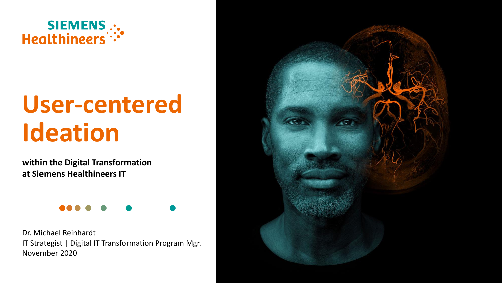

# **User-centered Ideation**

**within the Digital Transformation at Siemens Healthineers IT**



Dr. Michael Reinhardt IT Strategist | Digital IT Transformation Program Mgr. November 2020

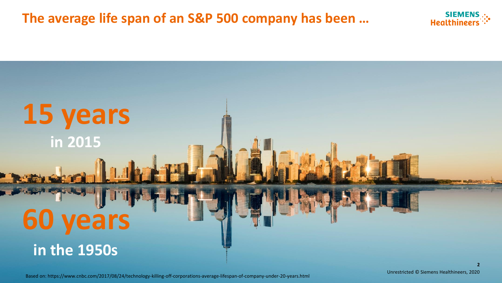**The average life span of an S&P 500 company has been …**





Based on: https://www.cnbc.com/2017/08/24/technology-killing-off-corporations-average-lifespan-of-company-under-20-years.html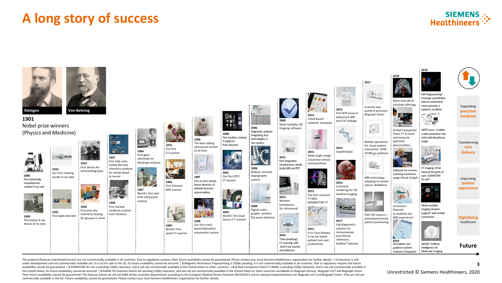## **A long story of success**





The products/features (mentioned herein) are not commercially available in all countries. Due to regulatory reasons, their future availability cannot be guaranteed. Please contact your local Siemens Healthineers organizati under development and not commercially available yet. It is not for sale in the US. Its future availability cannot be ensured. | 2 Magnetic Resonance Fingerprinting is 510(k) pending. It is not commercially available in al availability cannot be guaranteed. | 3 SOMATOM On.site is pending 510(k) clearance, and is not yet commercially available in the United States or other countries. | 4 Al-Rad Companion Chest CT (MSK) is pending 510(k) clear the United States. Its future availability cannot be ensured. | 5 AIDAN The features herein are pending 510(k) clearance, and are not yet commercially available in the United States or other countries worldwide on Biograph Their future availability cannot be guaranteed. The features herein do not yet fulfill all the essential requirements according to the European Medical Device Directive (93/42/EEC) and its national implementations for Biog commercially available in the EU. Future availability cannot be guaranteed. Please contact your local Siemens Healthineers organization for further details.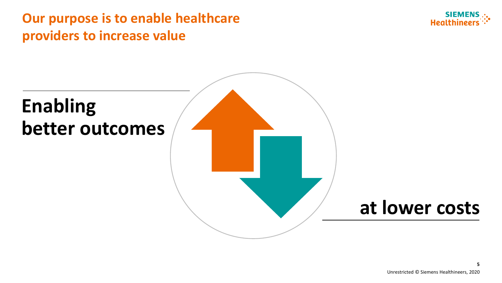## **Our purpose is to enable healthcare providers to increase value**



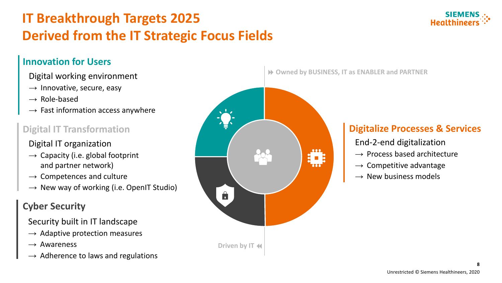# **IT Breakthrough Targets 2025 Derived from the IT Strategic Focus Fields**

#### **Innovation for Users**

#### Digital working environment

- $\rightarrow$  Innovative, secure, easy
- $\rightarrow$  Role-based
- $\rightarrow$  Fast information access anywhere

### **Digital IT Transformation**

#### Digital IT organization

- $\rightarrow$  Capacity (i.e. global footprint and partner network)
- $\rightarrow$  Competences and culture
- $\rightarrow$  New way of working (i.e. OpenIT Studio)

## **Cyber Security**

Security built in IT landscape

- $\rightarrow$  Adaptive protection measures
- $\rightarrow$  Awareness
- $\rightarrow$  Adherence to laws and regulations



**Owned by BUSINESS, IT as ENABLER and PARTNER**

#### **Digitalize Processes & Services**

- End-2-end digitalization
- $\rightarrow$  Process based architecture
- $\rightarrow$  Competitive advantage
- $\rightarrow$  New business models

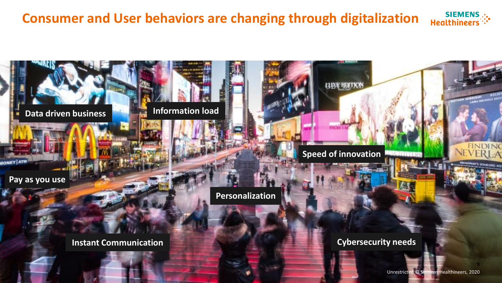#### **SIEMENS**<br>Healthineers **Consumer and User behaviors are changing through digitalization**

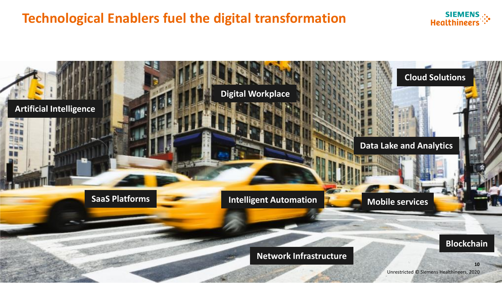## **Technological Enablers fuel the digital transformation**



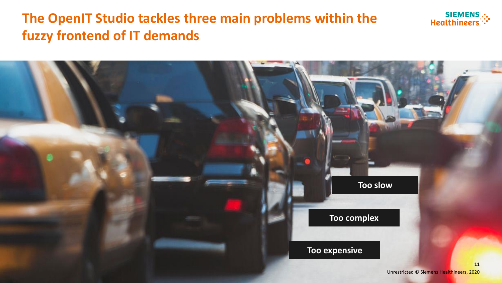## **The OpenIT Studio tackles three main problems within the fuzzy frontend of IT demands**



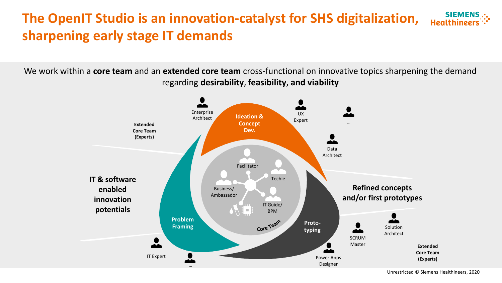#### **SIEMENS The OpenIT Studio is an innovation-catalyst for SHS digitalization, Healthine sharpening early stage IT demands**

We work within a **core team** and an **extended core team** cross-functional on innovative topics sharpening the demand regarding **desirability**, **feasibility**, **and viability**



Unrestricted © Siemens Healthineers, 2020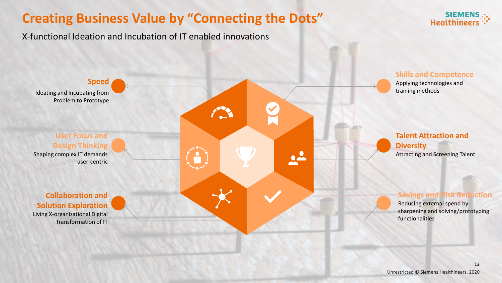## **Creating Business Value by "Connecting the Dots"**



X-functional Ideation and Incubation of IT enabled innovations